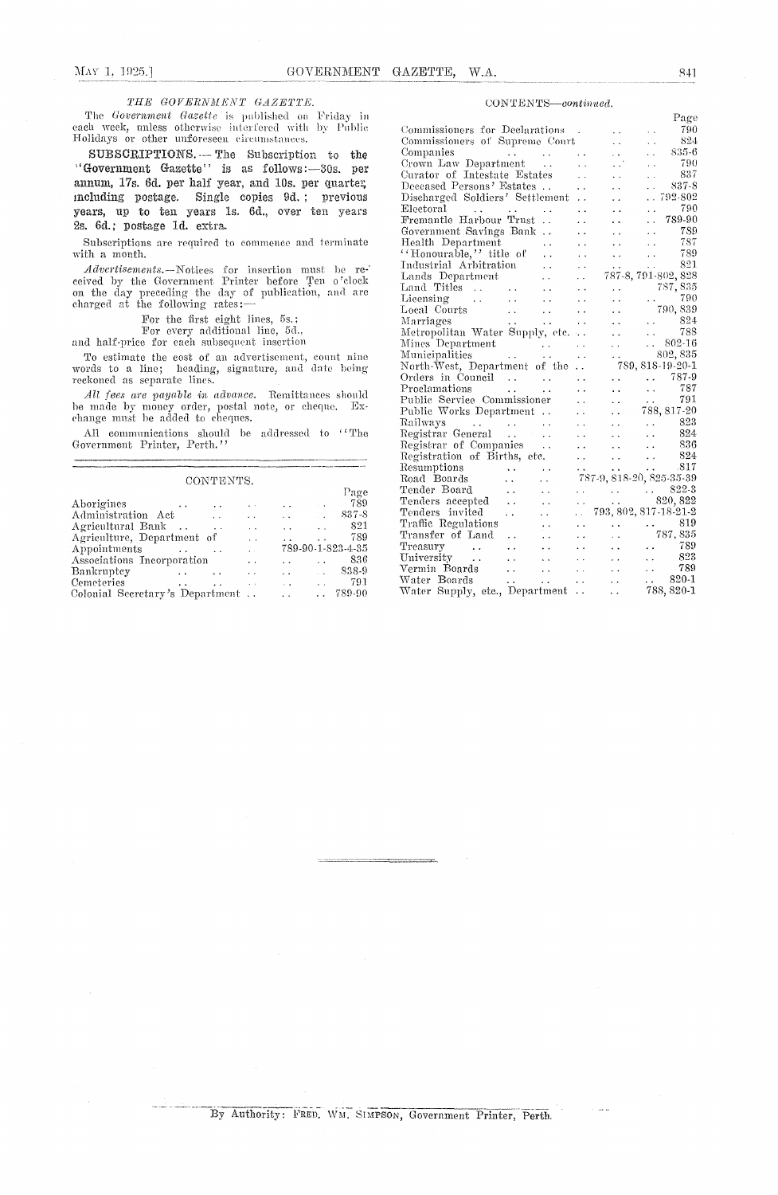### THE GOVERNMENT GAZETTE.

The Government Gazette is published on Friday in each week, unless otherwise interfered with by Public Holidays or other unforeseen circumstances.

SUBSCRIPTIONS. -- The Subscription to the "Government Gazette" is as follows:-30s. per annum, 17s. 6d. per half year, and 10s. per quarter, including postage. Single copies 9d.; previous years, up to ten years 1s. 6d., over ten years 2s. 6d.; postage 1d. extra.

Subscriptions are required to commence and terminate with a month.

 $Advert isements.$ —Notices for insertion must be received by the Government Printer before Ten o'clock on the day preceding the day of publication, and are charged at the following rates:—

For the first eight lines, 5s.;

For every additional line, 5d.,

and half-price for each subsequent insertion

To estimate the cost of an advertisement, count nine words to a line; heading, signature, and date being reckoned as separate lines.

All fees are payable in advance. Remittances should be made by money order, postal note, or cheque. Ex-<br>change must be added to cheques.

All communications should be addressed to ''The Government Printer, Perth.''

CONTENTS

| Page<br>789<br>Aborigines<br>$\sim$ 4<br>$\ddotsc$<br>$\ddot{\phantom{0}}$<br>837-8<br>Administration Act<br>$\sim$<br>$\ddot{\phantom{0}}$<br>$\ddot{\phantom{1}}$<br>821<br>Agricultural Bank<br>$\sim 100$<br>$\ddot{\phantom{0}}$<br>789<br>Agriculture, Department of<br>$\ddot{\phantom{0}}$<br>789-90-1-823-4-35<br>Appointments<br>$\ddot{\phantom{a}}$<br>836<br>Associations Incorporation<br>$\ddot{\phantom{0}}$<br>838-9<br>Bankruptey<br>$\ddot{\phantom{1}}$<br>$\ddot{\phantom{1}}$ |  |
|-----------------------------------------------------------------------------------------------------------------------------------------------------------------------------------------------------------------------------------------------------------------------------------------------------------------------------------------------------------------------------------------------------------------------------------------------------------------------------------------------------|--|
|                                                                                                                                                                                                                                                                                                                                                                                                                                                                                                     |  |
|                                                                                                                                                                                                                                                                                                                                                                                                                                                                                                     |  |
|                                                                                                                                                                                                                                                                                                                                                                                                                                                                                                     |  |
|                                                                                                                                                                                                                                                                                                                                                                                                                                                                                                     |  |
|                                                                                                                                                                                                                                                                                                                                                                                                                                                                                                     |  |
|                                                                                                                                                                                                                                                                                                                                                                                                                                                                                                     |  |
|                                                                                                                                                                                                                                                                                                                                                                                                                                                                                                     |  |
|                                                                                                                                                                                                                                                                                                                                                                                                                                                                                                     |  |
| 791<br>Cemeteries<br>$\mathbf{r}$<br>$\sim$<br>$\cdot$ $\cdot$                                                                                                                                                                                                                                                                                                                                                                                                                                      |  |
| 789-90<br>Colonial Secretary's Department<br>$\mathbf{r}$                                                                                                                                                                                                                                                                                                                                                                                                                                           |  |

#### CONTENTS-continued.

|                                                                                                                                                                                                                                                                                                                                                                                                                                                                        |                                                                                                                                        |                      |                      |                                                                                                                             |                                                           | rage                                                          |
|------------------------------------------------------------------------------------------------------------------------------------------------------------------------------------------------------------------------------------------------------------------------------------------------------------------------------------------------------------------------------------------------------------------------------------------------------------------------|----------------------------------------------------------------------------------------------------------------------------------------|----------------------|----------------------|-----------------------------------------------------------------------------------------------------------------------------|-----------------------------------------------------------|---------------------------------------------------------------|
| Commissioners for Declarations.                                                                                                                                                                                                                                                                                                                                                                                                                                        |                                                                                                                                        |                      |                      |                                                                                                                             | . .                                                       | 790                                                           |
| Commissioners of Supreme Court                                                                                                                                                                                                                                                                                                                                                                                                                                         |                                                                                                                                        |                      |                      | $\ddot{\phantom{0}}$                                                                                                        | i.                                                        | 824                                                           |
| Companies                                                                                                                                                                                                                                                                                                                                                                                                                                                              | and the contract of the                                                                                                                |                      | $\ddot{\phantom{1}}$ | $\sim$                                                                                                                      | L.                                                        | 835-6                                                         |
|                                                                                                                                                                                                                                                                                                                                                                                                                                                                        |                                                                                                                                        |                      | $\ddotsc$            | . . '                                                                                                                       | $\ddot{\phantom{0}}$                                      | 790                                                           |
| Crown Law Department<br>Curator of Intestate Estates                                                                                                                                                                                                                                                                                                                                                                                                                   |                                                                                                                                        |                      | $\ddot{\phantom{a}}$ |                                                                                                                             | i.                                                        | 837                                                           |
| Deceased Persons' Estates                                                                                                                                                                                                                                                                                                                                                                                                                                              |                                                                                                                                        |                      | $\ddot{\phantom{0}}$ | $\ddot{\phantom{0}}$                                                                                                        | μ.                                                        | 837-8                                                         |
| Discharged Soldiers' Settlement                                                                                                                                                                                                                                                                                                                                                                                                                                        |                                                                                                                                        |                      | $\ddot{\phantom{0}}$ |                                                                                                                             | . .                                                       | 792-802                                                       |
| Electoral<br>and the second service and                                                                                                                                                                                                                                                                                                                                                                                                                                |                                                                                                                                        |                      | $\ddot{\phantom{0}}$ | $\ddot{\phantom{0}}$                                                                                                        | . .                                                       | 790                                                           |
| Fremantle Harbour Trust                                                                                                                                                                                                                                                                                                                                                                                                                                                |                                                                                                                                        | $\ddot{\phantom{0}}$ |                      |                                                                                                                             | $\ddot{\phantom{0}}$                                      | 789-90                                                        |
| Government Savings Bank                                                                                                                                                                                                                                                                                                                                                                                                                                                |                                                                                                                                        | $\ddot{\phantom{0}}$ |                      | . .                                                                                                                         | . .                                                       | 789                                                           |
| Health Department                                                                                                                                                                                                                                                                                                                                                                                                                                                      |                                                                                                                                        | ř.                   | Ω.                   | $\ddotsc$                                                                                                                   | $\ddot{\phantom{0}}$                                      | - 787                                                         |
| "Honourable," title of                                                                                                                                                                                                                                                                                                                                                                                                                                                 |                                                                                                                                        | $\ddot{\phantom{0}}$ | $\ddot{\phantom{1}}$ | $\ddot{\phantom{0}}$                                                                                                        | $\ddot{\phantom{0}}$                                      | 789                                                           |
| Industrial Arbitration                                                                                                                                                                                                                                                                                                                                                                                                                                                 |                                                                                                                                        | $\ddot{\phantom{0}}$ | $\sim$               | $\ddot{\phantom{0}}$                                                                                                        | $\sim$                                                    | 821                                                           |
| Lands Department                                                                                                                                                                                                                                                                                                                                                                                                                                                       |                                                                                                                                        | $\ddot{\phantom{a}}$ |                      | 787-8, 791-802, 828                                                                                                         |                                                           |                                                               |
| Land Titles                                                                                                                                                                                                                                                                                                                                                                                                                                                            |                                                                                                                                        | $\ddot{\phantom{0}}$ | $\ddot{\phantom{1}}$ |                                                                                                                             |                                                           | 787,835                                                       |
| Licensing<br>$\mathcal{L}^{\mathcal{L}}(\mathcal{L}^{\mathcal{L}}(\mathcal{L}^{\mathcal{L}}(\mathcal{L}^{\mathcal{L}}(\mathcal{L}^{\mathcal{L}}(\mathcal{L}^{\mathcal{L}}(\mathcal{L}^{\mathcal{L}}(\mathcal{L}^{\mathcal{L}}(\mathcal{L}^{\mathcal{L}}(\mathcal{L}^{\mathcal{L}}(\mathcal{L}^{\mathcal{L}}(\mathcal{L}^{\mathcal{L}}(\mathcal{L}^{\mathcal{L}}(\mathcal{L}^{\mathcal{L}}(\mathcal{L}^{\mathcal{L}}(\mathcal{L}^{\mathcal{L}}(\mathcal{L}^{\mathcal{L$ |                                                                                                                                        | $\ddot{\phantom{0}}$ |                      |                                                                                                                             | $\mathcal{L}(\mathcal{L})$ and $\mathcal{L}(\mathcal{L})$ | 790                                                           |
| Local Courts                                                                                                                                                                                                                                                                                                                                                                                                                                                           |                                                                                                                                        | $\ddot{\phantom{a}}$ |                      | $\ddot{\phantom{0}}$                                                                                                        |                                                           | 790,839                                                       |
| Marriages                                                                                                                                                                                                                                                                                                                                                                                                                                                              | $\mathcal{L}^{\text{max}}$ , where $\mathcal{L}^{\text{max}}$                                                                          | $\sim$ $\sim$        |                      | $\ddotsc$                                                                                                                   |                                                           |                                                               |
| Metropolitan Water Supply, etc                                                                                                                                                                                                                                                                                                                                                                                                                                         |                                                                                                                                        |                      |                      | $\ddot{\phantom{0}}$                                                                                                        |                                                           | $\begin{array}{ccc}\n\cdot & 824 \\ \cdot & 788\n\end{array}$ |
| Mines Department                                                                                                                                                                                                                                                                                                                                                                                                                                                       |                                                                                                                                        |                      | . .                  | $\ddot{\phantom{0}}$                                                                                                        |                                                           | $.802-16$                                                     |
| Municipalities                                                                                                                                                                                                                                                                                                                                                                                                                                                         | $\mathcal{L}(\mathcal{L}^{\mathcal{L}})$ and $\mathcal{L}^{\mathcal{L}}$ and $\mathcal{L}^{\mathcal{L}}$<br>and the state of the state |                      | $\ddot{\phantom{0}}$ |                                                                                                                             |                                                           | 802, 835                                                      |
| North-West, Department of the                                                                                                                                                                                                                                                                                                                                                                                                                                          |                                                                                                                                        |                      | $\ddot{\phantom{a}}$ |                                                                                                                             |                                                           | 789, 818-19-20-1                                              |
| Orders in Council                                                                                                                                                                                                                                                                                                                                                                                                                                                      |                                                                                                                                        |                      | $\ddot{\phantom{0}}$ | $\ddot{\phantom{0}}$                                                                                                        |                                                           | $\ldots$ 787-9                                                |
| Proclamations<br><b>Contract Contract Contract</b>                                                                                                                                                                                                                                                                                                                                                                                                                     |                                                                                                                                        | $\ddot{\phantom{0}}$ |                      | $\sim$ $\sim$                                                                                                               | $\mathcal{L}(\mathcal{A})$ .                              | 787                                                           |
| Public Service Commissioner                                                                                                                                                                                                                                                                                                                                                                                                                                            |                                                                                                                                        |                      |                      | $\ddot{\phantom{a}}$                                                                                                        |                                                           |                                                               |
| Public Works Department                                                                                                                                                                                                                                                                                                                                                                                                                                                |                                                                                                                                        |                      | . .                  | $\ddot{\phantom{0}}$                                                                                                        |                                                           | $\frac{791}{788,817-20}$                                      |
| Railways   .                                                                                                                                                                                                                                                                                                                                                                                                                                                           |                                                                                                                                        |                      |                      | $\ddot{\phantom{0}}$                                                                                                        |                                                           | $\,.\,$ 823                                                   |
| Registrar General                                                                                                                                                                                                                                                                                                                                                                                                                                                      |                                                                                                                                        |                      |                      |                                                                                                                             | . .                                                       | 824                                                           |
| Registrar of Companies                                                                                                                                                                                                                                                                                                                                                                                                                                                 |                                                                                                                                        |                      |                      | $\ddot{\phantom{0}}$                                                                                                        | $\mathcal{L}(\mathbf{x})$                                 |                                                               |
| Registration of Births, etc.                                                                                                                                                                                                                                                                                                                                                                                                                                           |                                                                                                                                        |                      | . .                  | $\sim$ $\sim$                                                                                                               |                                                           | $\frac{836}{824}$                                             |
|                                                                                                                                                                                                                                                                                                                                                                                                                                                                        |                                                                                                                                        |                      | $\ddot{\phantom{0}}$ | $\langle \sigma \sigma \rangle$ .                                                                                           | $\sim 10^{-1}$                                            |                                                               |
| Resumptions<br>$\mathcal{L}^{\text{max}}$ , where $\mathcal{L}^{\text{max}}$                                                                                                                                                                                                                                                                                                                                                                                           |                                                                                                                                        | $\sim$ .             | . .                  | $\frac{317}{787-9}, \frac{1}{818-20}, \frac{815-35-39}{825-35-39}$                                                          |                                                           |                                                               |
| Road Boards<br>Tender Board                                                                                                                                                                                                                                                                                                                                                                                                                                            | $\ddot{\phantom{a}}$                                                                                                                   |                      |                      |                                                                                                                             |                                                           |                                                               |
|                                                                                                                                                                                                                                                                                                                                                                                                                                                                        | $\sim$ $\sim$                                                                                                                          |                      |                      | $\begin{array}{ccc}\n & \cdots & \cdots & \cdots & \text{822-3} \\ \vdots & \vdots & \ddots & \text{820, 822}\n\end{array}$ |                                                           |                                                               |
| Tenders accepted                                                                                                                                                                                                                                                                                                                                                                                                                                                       | $\ddot{\phantom{0}}$                                                                                                                   |                      |                      | 793, 802, 817-18-21-2                                                                                                       |                                                           |                                                               |
| Tenders invited                                                                                                                                                                                                                                                                                                                                                                                                                                                        | $\ddot{\phantom{a}}$                                                                                                                   | $\ddot{\phantom{0}}$ | $\sim$               |                                                                                                                             |                                                           |                                                               |
| Traffic Regulations                                                                                                                                                                                                                                                                                                                                                                                                                                                    |                                                                                                                                        | $\ddot{\phantom{1}}$ | $\ddot{\phantom{1}}$ | <b>Contractor</b>                                                                                                           | <b>Carl Co</b>                                            | 819                                                           |
| Transfer of Land                                                                                                                                                                                                                                                                                                                                                                                                                                                       | $\sim 10$                                                                                                                              | . .                  |                      |                                                                                                                             |                                                           | 787,835                                                       |
| Treasury<br>University                                                                                                                                                                                                                                                                                                                                                                                                                                                 | $\rightarrow$ $\rightarrow$                                                                                                            | $\ddotsc$            |                      |                                                                                                                             | $\cdots$                                                  | 789                                                           |
|                                                                                                                                                                                                                                                                                                                                                                                                                                                                        | $\sim$ $\sim$                                                                                                                          | $\ddotsc$            |                      | $\sim$                                                                                                                      | $\ddotsc$                                                 | 823                                                           |
| Vermin Boards                                                                                                                                                                                                                                                                                                                                                                                                                                                          | $\ddotsc$                                                                                                                              | $\ddotsc$            |                      |                                                                                                                             | $\ddot{\phantom{0}}$                                      | 789                                                           |
| Water Boards<br>Water Supply, etc., Department                                                                                                                                                                                                                                                                                                                                                                                                                         |                                                                                                                                        |                      | . .                  |                                                                                                                             |                                                           | $\ldots$ 820-1                                                |
|                                                                                                                                                                                                                                                                                                                                                                                                                                                                        |                                                                                                                                        |                      | $\ddot{\phantom{0}}$ | i.                                                                                                                          |                                                           | 788, 820-1                                                    |

 $\mathbf{D}$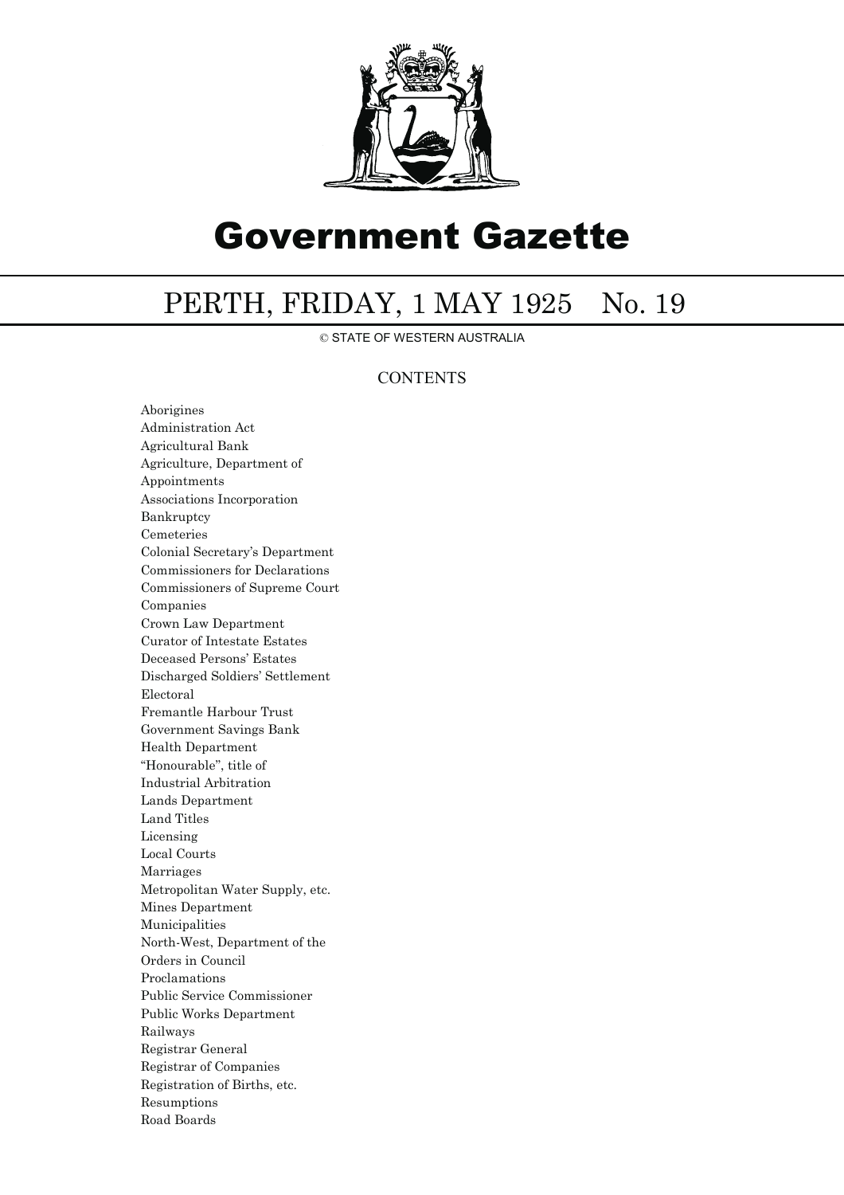

# Government Gazette

## PERTH, FRIDAY, 1 MAY 1925 No. 19

© STATE OF WESTERN AUSTRALIA

### **CONTENTS**

Aborigines Administration Act Agricultural Bank Agriculture, Department of Appointments Associations Incorporation Bankruptcy Cemeteries Colonial Secretary's Department Commissioners for Declarations Commissioners of Supreme Court Companies Crown Law Department Curator of Intestate Estates Deceased Persons' Estates Discharged Soldiers' Settlement Electoral Fremantle Harbour Trust Government Savings Bank Health Department ''Honourable'', title of Industrial Arbitration Lands Department Land Titles Licensing Local Courts Marriages Metropolitan Water Supply, etc. Mines Department Municipalities North-West, Department of the Orders in Council Proclamations Public Service Commissioner Public Works Department Railways Registrar General Registrar of Companies Registration of Births, etc. Resumptions Road Boards